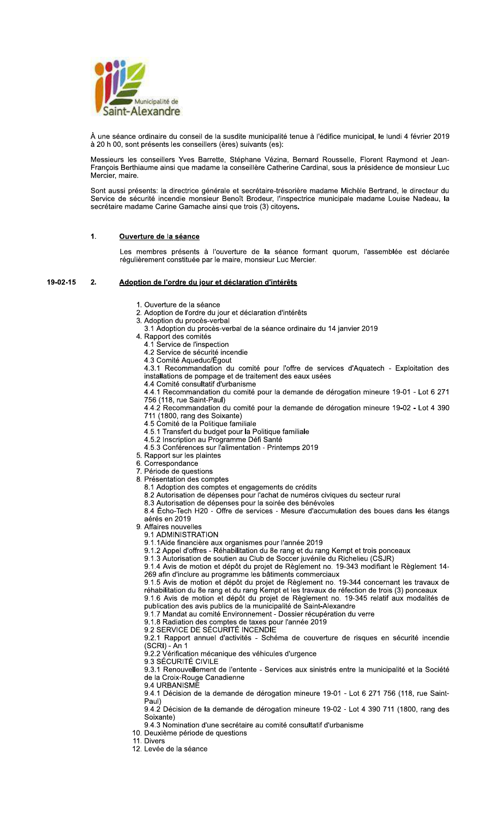

À une séance ordinaire du conseil de la susdite municipalité tenue à l'édifice municipal, le lundi 4 février 2019 à 20 h 00, sont présents les conseillers (ères) suivants (es):

Messieurs les conseillers Yves Barrette, Stéphane Vézina, Bernard Rousselle, Florent Raymond et Jean-<br>François Berthiaume ainsi que madame la conseillère Catherine Cardinal, sous la présidence de monsieur Luc Mercier, maire.

Sont aussi présents: la directrice générale et secrétaire-trésorière madame Michèle Bertrand, le directeur du Service de sécurité incendie monsieur Benoît Brodeur, l'inspectrice municipale madame Louise Nadeau, la secrétaire madame Carine Gamache ainsi que trois (3) citoyens.

#### $\overline{1}$ Ouverture de la séance

Les membres présents à l'ouverture de la séance formant quorum, l'assemblée est déclarée régulièrement constituée par le maire, monsieur Luc Mercier.

#### 19-02-15  $2.$ <u>Adoption de l'ordre du jour et déclaration d'intérêts </u>

- 1. Ouverture de la séance
- 2. Adoption de l'ordre du jour et déclaration d'intérêts
- 3. Adoption du procès-verbal
- 3.1 Adoption du procès-verbal de la séance ordinaire du 14 janvier 2019
- 4. Rapport des comités
- 4.1 Service de l'inspection
- 4.2 Service de sécurité incendie
- 4.3 Comité Aqueduc/Égout

4.3.1 Recommandation du comité pour l'offre de services d'Aquatech - Exploitation des installations de pompage et de traitement des eaux usées

- 4.4 Comité consultatif d'urbanisme 4.4.1 Recommandation du comité pour la demande de dérogation mineure 19-01 - Lot 6 271
- 
- 116 118, rue Saint-Paul)<br>156 (118, rue Saint-Paul)<br>4.4.2 Recommandation du comité pour la demande de dérogation mineure 19-02 Lot 4 390
	- 111 (1800, rang des Soixante)<br>711 (1800, rang des Soixante)<br>4.5 Comité de la Politique familiale
	- 4.5.1 Transfert du budget pour la Politique familiale
	- 4.5.2 Inscription au Programme Défi Santé
	- 4.5.3 Conférences sur l'alimentation Printemps 2019
- 5. Rapport sur les plaintes
- 6. Correspondance
- 7. Période de questions
- 8. Présentation des comptes
	-
	- 1.1 Adoption des comptes et engagements de crédits<br>8.2 Autorisation de dépenses pour l'achat de numéros civiques du secteur rural
	- 8.3 Autorisation de dépenses pour la soirée des bénévoles

8.4 Écho-Tech H20 - Offre de services - Mesure d'accumulation des boues dans les étangs aérés en 2019

- 9. Affaires nouvelles
	- 9.1 ADMINISTRATION
	- 9.1.1 Aide financière aux organismes pour l'année 2019
	- 9.1.2 Appel d'offres Réhabilitation du 8e rang et du rang Kempt et trois ponceaux
	-

9.1.3 Autorisation de soutien au Club de Soccer juvénile du Richelieu (CSJR)<br>9.1.4 Avis de motion et dépôt du projet de Règlement no. 19-343 modifiant le Règlement 14-<br>269 afin d'inclure au programme les bâtiments commerci

9.1.5 Avis de motion et dépôt du projet de Règlement no. 19-344 concernant les travaux de<br>réhabilitation du 8e rang et du rang Kempt et les travaux de réfection de trois (3) ponceaux 9.1.6 Avis de motion et dépôt du projet de Règlement no. 19-345 relatif aux modalités de

publication des avis publics de la municipalité de Saint-Alexandre

9.1.7 Mandat au comité Environnement - Dossier récupération du verre

- 9.1.8 Radiation des comptes de taxes pour l'année 2019
- 9.2 SERVICE DE SÉCURITÉ INCENDIE

9.2.1 Rapport annuel d'activités - Schéma de couverture de risques en sécurité incendie (SCRI) - An 1<br>9.2.2 Vérification mécanique des véhicules d'urgence

9.3 SÉCURITÉ CIVILE

9.3.1 Renouvellement de l'entente - Services aux sinistrés entre la municipalité et la Société de la Croix-Rouge Canadienne

9.4 URBANISME

9.4.1 Décision de la demande de dérogation mineure 19-01 - Lot 6 271 756 (118, rue Saint-Paul)

9.4.2 Décision de la demande de dérogation mineure 19-02 - Lot 4 390 711 (1800, rang des Soixante)

9.4.3 Nomination d'une secrétaire au comité consultatif d'urbanisme

- 10. Deuxième période de questions
- 11. Divers
- 12. Levée de la séance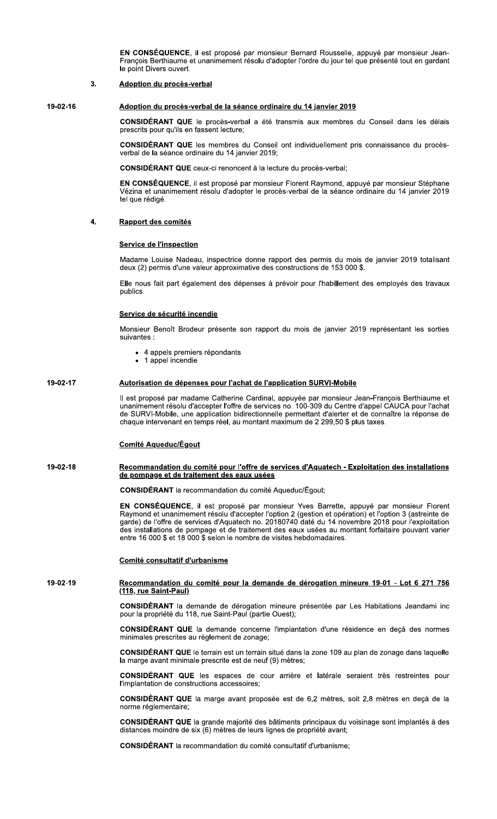EN CONSÉQUENCE, il est proposé par monsieur Bernard Rousselle, appuyé par monsieur Jean-François Berthiaume et unanimement résolu d'adopter l'ordre du jour tel que présenté tout en gardant le point Divers ouvert

#### $3.$ **Adoption du procès-verbal**

19-02-16

# Adoption du procès-verbal de la séance ordinaire du 14 janvier 2019

CONSIDÉRANT QUE le procès-verbal a été transmis aux membres du Conseil dans les délais prescrits pour qu'ils en fassent lecture;

CONSIDÉRANT QUE les membres du Conseil ont individuellement pris connaissance du procèsverbal de la séance ordinaire du 14 janvier 2019;

**CONSIDÉRANT QUE** ceux-ci renoncent à la lecture du procès-verbal;

EN CONSÉQUENCE, il est proposé par monsieur Florent Raymond, appuyé par monsieur Stéphane Vézina et unanimement résolu d'adopter le procès-verbal de la séance ordinaire du 14 janvier 2019 tel que rédigé.

#### $\overline{\mathbf{4}}$ . Rapport des comités

## **Service de l'inspection**

Madame Louise Nadeau, inspectrice donne rapport des permis du mois de janvier 2019 totalisant deux (2) permis d'une valeur approximative des constructions de 153 000 \$.

Elle nous fait part également des dépenses à prévoir pour l'habillement des employés des travaux publics.

## Service de sécurité incendie

Monsieur Benoît Brodeur présente son rapport du mois de janvier 2019 représentant les sorties suivantes

- 4 appels premiers répondants
- 1 appel incendie

#### 19-02-17 Autorisation de dépenses pour l'achat de l'application SURVI-Mobile

Il est proposé par madame Catherine Cardinal, appuyée par monsieur Jean-François Berthiaume et unanimement résolu d'accepter l'offre de services no. 100-309 du Centre d'appel CAUCA pour l'achat de SURVI-Mobile, une application bidirectionnelle permettant d'alerter et de connaître la réponse de chaque intervenant en temps réel, au montant maximum de 2 299,50 \$ plus taxes.

# **Comité Aqueduc/Égout**

### 19-02-18 Recommandation du comité pour l'offre de services d'Aquatech - Exploitation des installations de pompage et de traitement des eaux usées

CONSIDÉRANT la recommandation du comité Aqueduc/Égout;

EN CONSÉQUENCE, il est proposé par monsieur Yves Barrette, appuyé par monsieur Florent Raymond et unanimement résolu d'accepter l'option 2 (gestion et opération) et l'option 3 (astreinte de garde) de l'offre de services d'Aquatech no. 20180740 daté du 14 novembre 2018 pour l'exploitation des installations de pompage et de traitement des eaux usées au montant forfaitaire pouvant varier entre 16 000 \$ et 18 000 \$ selon le nombre de visites hebdomadaires.

## Comité consultatif d'urbanisme

### 19-02-19 Recommandation du comité pour la demande de dérogation mineure 19-01 - Lot 6 271 756 (118, rue Saint-Paul)

CONSIDÉRANT la demande de dérogation mineure présentée par Les Habitations Jeandami inc pour la propriété du 118, rue Saint-Paul (partie Ouest);

**CONSIDERANT QUE** la demande concerne l'implantation d'une résidence en deçà des normes minimales prescrites au règlement de zonage;

CONSIDÉRANT QUE le terrain est un terrain situé dans la zone 109 au plan de zonage dans laquelle la marge avant minimale prescrite est de neuf (9) mètres;

CONSIDÉRANT QUE les espaces de cour arrière et latérale seraient très restreintes pour l'implantation de constructions accessoires:

CONSIDÉRANT QUE la marge avant proposée est de 6,2 mètres, soit 2,8 mètres en deçà de la norme réglementaire:

CONSIDÉRANT QUE la grande majorité des bâtiments principaux du voisinage sont implantés à des distances moindre de six (6) mètres de leurs lignes de propriété avant;

**CONSIDÉRANT** la recommandation du comité consultatif d'urbanisme;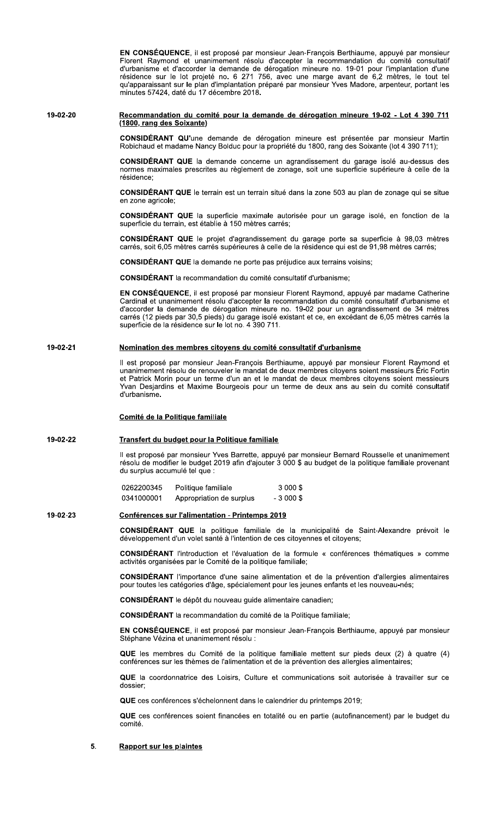EN CONSÉQUENCE, il est proposé par monsieur Jean-François Berthiaume, appuyé par monsieur Florent Raymond et unanimement résolu d'accepter la recommandation du comité consultatif d'urbanisme et d'accorder la demande de dérogation mineure no. 19-01 pour l'implantation d'une résidence sur le lot projeté no. 6 271 756, avec une marge avant de 6,2 mètres, le tout tel<br>qu'apparaissant sur le plan d'implantation préparé par monsieur Yves Madore, arpenteur, portant les minutes 57424, daté du 17 décembre 2018.

## 19-02-20 Recommandation du comité pour la demande de dérogation mineure 19-02 - Lot 4 390 711 (1800, rang des Soixante)

CONSIDÉRANT QU'une demande de dérogation mineure est présentée par monsieur Martin Robichaud et madame Nancy Bolduc pour la propriété du 1800, rang des Soixante (lot 4 390 711);

CONSIDÉRANT QUE la demande concerne un agrandissement du garage isolé au-dessus des normes maximales prescrites au règlement de zonage, soit une superficie supérieure à celle de la résidence:

CONSIDÉRANT QUE le terrain est un terrain situé dans la zone 503 au plan de zonage qui se situe en zone agricole;

CONSIDÉRANT QUE la superficie maximale autorisée pour un garage isolé, en fonction de la superficie du terrain, est établie à 150 mètres carrés;

CONSIDÉRANT QUE le projet d'agrandissement du garage porte sa superficie à 98,03 mètres carrés, soit 6.05 mètres carrés supérieures à celle de la résidence qui est de 91.98 mètres carrés:

CONSIDÉRANT QUE la demande ne porte pas préjudice aux terrains voisins;

**CONSIDÉRANT** la recommandation du comité consultatif d'urbanisme;

EN CONSÉQUENCE, il est proposé par monsieur Florent Raymond, appuyé par madame Catherine Cardinal et unanimement résolu d'accepter la recommandation du comité consultatif d'urbanisme et d'accorder la demande de dérogation mineure no. 19-02 pour un agrandissement de 34 mètres carrés (12 pieds par 30,5 pieds) du garage isolé existant et ce, en excédant de 6,05 mètres carrés la superficie de la résidence sur le lot no. 4 390 711.

#### 19-02-21 Nomination des membres citoyens du comité consultatif d'urbanisme

Il est proposé par monsieur Jean-François Berthiaume, appuyé par monsieur Florent Raymond et unanimement résolu de renouveler le mandat de deux membres citoyens soient messieurs Éric Fortin et Patrick Morin pour un terme d'un an et le mandat de deux membres citoyens soient messieurs Yvan Desjardins et Maxime Bourgeois pour un terme de deux ans au sein du comité consultatif d'urbanisme

## Comité de la Politique familiale

#### 19-02-22 Transfert du budget pour la Politique familiale

Il est proposé par monsieur Yves Barrette, appuyé par monsieur Bernard Rousselle et unanimement résolu de modifier le budget 2019 afin d'ajouter 3 000 \$ au budget de la politique familiale provenant du surplus accumulé tel que :

0262200345 Politique familiale 3 000 \$ 0341000001 Appropriation de surplus  $-3,000$  \$

#### 19-02-23 Conférences sur l'alimentation - Printemps 2019

CONSIDÉRANT QUE la politique familiale de la municipalité de Saint-Alexandre prévoit le développement d'un volet santé à l'intention de ces citoyennes et citoyens;

**CONSIDÉRANT** l'introduction et l'évaluation de la formule « conférences thématiques » comme activités organisées par le Comité de la politique familiale;

CONSIDÉRANT l'importance d'une saine alimentation et de la prévention d'allergies alimentaires pour toutes les catégories d'âge, spécialement pour les jeunes enfants et les nouveau-nés;

CONSIDÉRANT le dépôt du nouveau guide alimentaire canadien;

**CONSIDÉRANT** la recommandation du comité de la Politique familiale:

EN CONSÉQUENCE, il est proposé par monsieur Jean-François Berthiaume, appuyé par monsieur Stéphane Vézina et unanimement résolu :

QUE les membres du Comité de la politique familiale mettent sur pieds deux (2) à quatre (4) conférences sur les thèmes de l'alimentation et de la prévention des allergies alimentaires;

QUE la coordonnatrice des Loisirs, Culture et communications soit autorisée à travailler sur ce dossier:

QUE ces conférences s'échelonnent dans le calendrier du printemps 2019;

QUE ces conférences soient financées en totalité ou en partie (autofinancement) par le budget du comité.

#### 5. **Rapport sur les plaintes**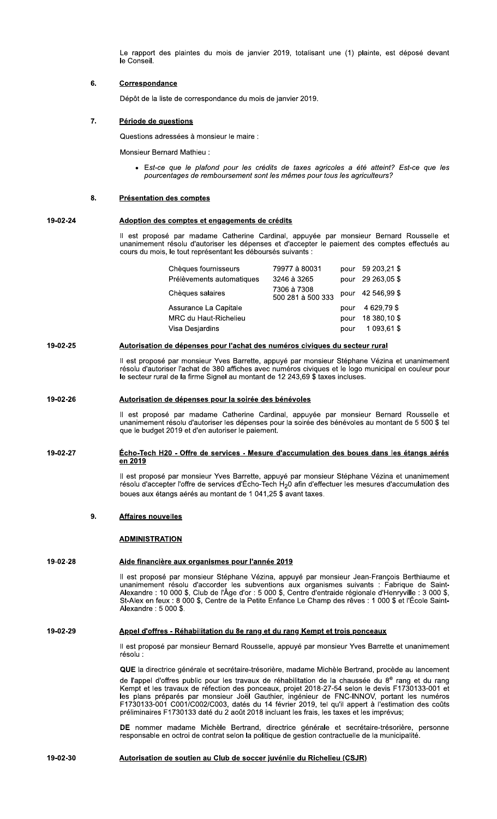Le rapport des plaintes du mois de janvier 2019, totalisant une (1) plainte, est déposé devant le Conseil.

#### 6. **Correspondance**

Dépôt de la liste de correspondance du mois de janvier 2019.

#### $\overline{7}$ . Période de questions

Questions adressées à monsieur le maire :

**Monsieur Bernard Mathieu:** 

• Est-ce que le plafond pour les crédits de taxes agricoles a été atteint? Est-ce que les pourcentages de remboursement sont les mêmes pour tous les agriculteurs?

#### 8. **Présentation des comptes**

#### 19-02-24 Adoption des comptes et engagements de crédits

Il est proposé par madame Catherine Cardinal, appuyée par monsieur Bernard Rousselle et unanimement résolu d'autoriser les dépenses et d'accepter le paiement des comptes effectués au cours du mois, le tout représentant les déboursés suivants :

| Chèques fournisseurs      | 79977 à 80031                    |      | pour 59 203,21 \$ |
|---------------------------|----------------------------------|------|-------------------|
| Prélèvements automatiques | 3246 à 3265                      | pour | 29 263,05 \$      |
| Chèques salaires          | 7306 à 7308<br>500 281 à 500 333 |      | pour 42 546,99 \$ |
| Assurance La Capitale     |                                  | pour | 4 629,79 \$       |
| MRC du Haut-Richelieu     |                                  | pour | 18 380,10 \$      |
| Visa Desjardins           |                                  | pour | 1 093,61 \$       |

#### 19-02-25 Autorisation de dépenses pour l'achat des numéros civiques du secteur rural

Il est proposé par monsieur Yves Barrette, appuyé par monsieur Stéphane Vézina et unanimement résolu d'autoriser l'achat de 380 affiches avec numéros civiques et le logo municipal en couleur pour le secteur rural de la firme Signel au montant de 12 243,69 \$ taxes incluses.

#### 19-02-26 Autorisation de dépenses pour la soirée des bénévoles

Il est proposé par madame Catherine Cardinal, appuyée par monsieur Bernard Rousselle et unanimement résolu d'autoriser les dépenses pour la soirée des bénévoles au montant de 5 500 \$ tel que le budget 2019 et d'en autoriser le paiement.

## 19-02-27 <u> Écho-Tech H20 - Offre de services - Mesure d'accumulation des boues dans les étangs aérés</u> en 2019

Il est proposé par monsieur Yves Barrette, appuyé par monsieur Stéphane Vézina et unanimement résolu d'accepter l'offre de services d'Écho-Tech H<sub>2</sub>0 afin d'effectuer les mesures d'accumulation des boues aux étangs aérés au montant de 1 041,25 \$ avant taxes.

#### 9. **Affaires nouvelles**

## **ADMINISTRATION**

#### 19-02-28 Aide financière aux organismes pour l'année 2019

Il est proposé par monsieur Stéphane Vézina, appuyé par monsieur Jean-François Berthiaume et unanimement résolu d'accorder les subventions aux organismes suivants : Fabrique de Saint-<br>Alexandre : 10 000 \$, Club de l'Âge d'or : 5 000 \$, Centre d'entraide régionale d'Henryville : 3 000 \$, St-Alex en feux : 8 000 \$, Centre de la Petite Enfance Le Champ des rêves : 1 000 \$ et l'École Saint-Alexandre: 5 000 \$.

#### 19-02-29 Appel d'offres - Réhabilitation du 8e rang et du rang Kempt et trois ponceaux

Il est proposé par monsieur Bernard Rousselle, appuyé par monsieur Yves Barrette et unanimement résolu

QUE la directrice générale et secrétaire-trésorière, madame Michèle Bertrand, procède au lancement de l'appel d'offres public pour les travaux de réhabilitation de la chaussée du 8<sup>e</sup> rang et du rang Kempt et les travaux de réfection des ponceaux, projet 2018-27-54 selon le devis F1730133-001 et<br>les plans préparés par monsieur Joël Gauthier, ingénieur de FNC-INNOV, portant les numéros F1730133-001 C001/C002/C003, datés du 14 février 2019, tel qu'il appert à l'estimation des coûts préliminaires F1730133 daté du 2 août 2018 incluant les frais, les taxes et les imprévus;

DE nommer madame Michèle Bertrand, directrice générale et secrétaire-trésorière, personne responsable en octroi de contrat selon la politique de gestion contractuelle de la municipalité.

#### 19-02-30 Autorisation de soutien au Club de soccer juvénile du Richelieu (CSJR)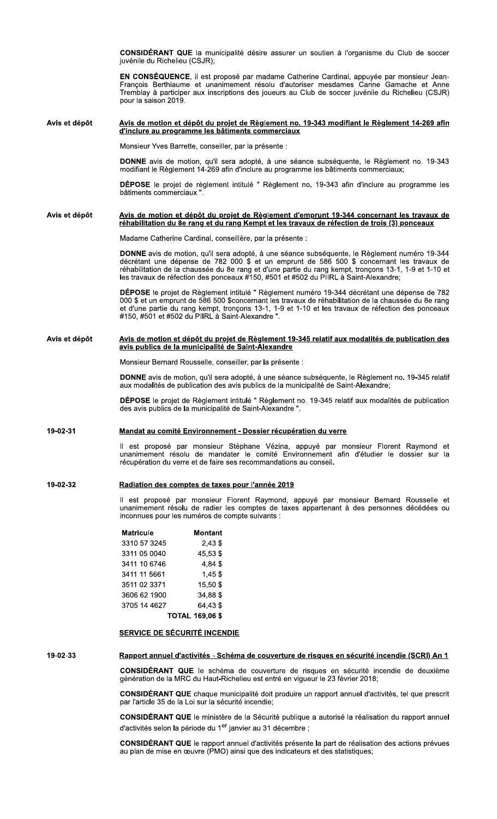CONSIDERANI G **CONSIDÉRANT QUE** la municipalité désire assurer un soutien à l'organisme du Club de soccer<br>juvénile du Richelieu (CSJR);<br>**EN CONSÉQUENCE**, il est proposé par madame Catherine Cardinal, appuyée par monsieur Jean-<br>François **EN CONSEQUENCE**, Il est propose par madame Catherine Cardinal, appuyee par monsieur Jean-**CONSIDÉRANT QUE** la municipalité désire assurer un soutien à l'organisme du Club de soccer<br>juvénile du Richelieu (CSJR);<br>**EN CONSÉQUENCE**, il est proposé par madame Catherine Cardinal, appuyée par monsieur Jean-<br>François NE avis de motion, qu'il sera adopte, a une seance subsequente, le Regiement no. 19-343 modifiant le Règlement 14-269 afin d'inclure au programme les bâtiments commerciaux; DÉPOSE le projet de règlement intitulé " Règlement no. 19-343 afin d'inclure au programme les bâtiments commerciaux ". Avis et depot<br>
d'inclure au programme le<br>
Monsieur Yves Barrette, con<br>
DONNE avis de motion, q<br>
modifiant le Règlement 14-2<br>
DÉPOSE le projet de règl<br>
bâtiments commerciaux ". Avis et dépôt depot <u>Avis de motion et depot au projet de Regiement no. 19-343 modifiant le Regiement 14-269 afin</u> <u>a inclure au programme les batiments commerciaux</u> Madame Catherine Cardinal, conseillère, par la présente : **DONNE** avis de motion, qu'il sera adopte, a une seance subsequente, le Regiement numero 19-344 decretant une depense de  $/82$  000 \$ et un emprunt de 586 500 \$ concernant les travaux de réhabilitation de la chaussée du 8e rang et d'une partie du rang kempt, tronçons 13-1, 1-9 et 1-10 et les travaux de réfection des ponceaux #150, #501 et #502 du PIIRL à Saint-Alexandre; DÉPOSE le projet de Règlement intitulé " Règlement numéro 19-344 décrétant une dépense de 782<br>000 \$ et un emprunt de 586 500 \$concernant les travaux de réhabilitation de la chaussée du 8e rang et d'une partie du rang kempt, tronçons 13-1, 1-9 et 1-10 et les travaux de réfection des ponceaux #150, #501 et #502 du PIIRL à Saint-Alexandre ". Avis et d depot <u>Avis de motion et depot du projet de Regiement d'emprunt 19-344 concernant les travaux de</u> <u>rehabilitation du 8e rang et du rang Kempt et les travaux de refection de trois (3) ponceaux</u> Monsieur Bernard Rousselle, conseiller, par la présente : **DONNE** avis de motion, qu'il sera adopte, a une seance subsequente, le Regiement no. 19-345 relatif aux modalités de publication des avis publics de la municipalité de Saint-Alexandre; DÉPOSE le projet de Règlement intitulé " Règlement no. 19-345 relatif aux modalités de publication des avis publication Avis et depot<br>
avis publics de la municipalité de Saint-Alexandre<br>
Monsieur Bernard Rousselle, conseiller, par la présente :<br>
DONNE avis de motion, qu'il sera adopté, à une séance subséquente, le Règlement no. 19-345 relat Avis et dépôt <u>avis publics de la municipalite de Saint-Alexandre</u> ii est propose par monsieur Stephane Vezina, appuye par monsieur Florent Raymond et unanimement resolu de mandater le comité Environnement afin d'étudier le dossier sur la Mandat au comite Environnement - Dossier recuperation du ver<br>Il est proposé par monsieur Stéphane Vézina, appuyé par<br>unanimement résolu de mandater le comité Environnement a<br>récupération du verre et de faire ses recommanda <u>au comite Environnement - Dossier recuperation du verre</u> Il est proposé par monsieur Florent Raymond, appuyé par monsieur Bernard Rousselle et unanimement résolu de radier les comptes de taxes appartenant à des personnes décédées ou inconnues pour les numéros de compte suivants : **Matricule Montant**<br>3310 57 3245 2.43 \$  $3310\,57\,3245$  2,43 \$<br> $3311\,05\,0040$  45,53 \$ 3311 05 0040 0 3411 10 6746 4,84 \$<br>3411 11 5661 1.45 \$ 02 3371 15661<br>3511 02 3371 15,50 \$ 3511 02 3371 3606 62 1900 34,88 \$<br>3705 14 4627 64,43 \$ 3705 14 4627  $\overline{A}$  $\overline{C}$  $\overline{D}$  $\overline{D}$  $\overline{D}$  $\overline{D}$  $\overline{D}$  $\overline{D}$  $\overline{D}$  $\overline{D}$  $\overline{D}$ <u>Radiation des comptes de taxes pour l'année 2019</u> <u>SERVICE DE SECURITE INCENDIE</u> CONSIDERANI ( génération de la MRC du Haut-Richelieu est entré en vigueur le 23 février 2018; **CONSIDERANT QUE** chaque municipalite doit produire un rapport annuel d'activites, tel que prescrit par l'article 35 de la Loi sur la sécurité incendie; SONSIDÉRANT QUE chaque municipalité doit produire un rapport annuel d'activités, tel que prescrit<br>par l'article 35 de la Loi sur la sécurité incendie;<br>CONSIDÉRANT QUE le ministère de la Sécurité publique a autorisé la réal <u>Rapport annuel d'activites - Schema de couverture de risques en securite incendie (SCRI) An 1</u>

**CONSIDERANT QUE** le ministere de la Securite publique a autorise la realisation du rapport annuel d'activités selon la période du 1<sup>er</sup> janvier au 31 décembre ;

CONSIDERANI Q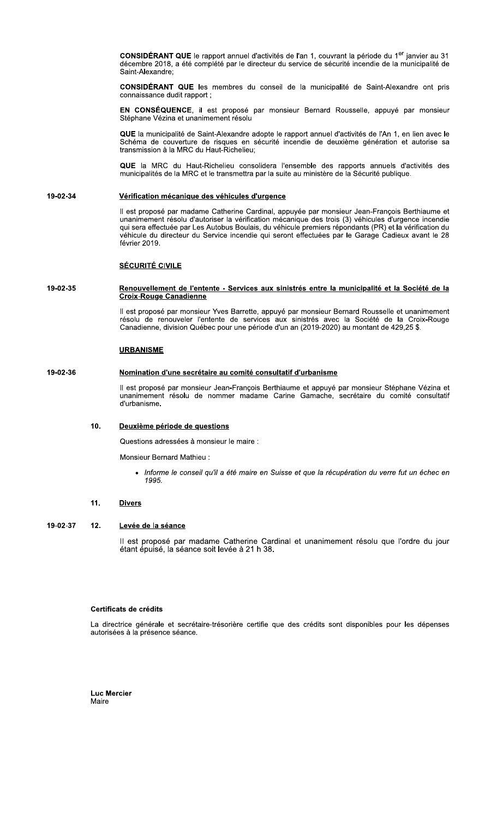CONSIDÉRANT QUE le rapport annuel d'activités de l'an 1, couvrant la période du 1<sup>er</sup> janvier au 31 décembre 2018, a été complété par le directeur du service de sécurité incendie de la municipalité de Saint-Alexandre;

CONSIDÉRANT QUE les membres du conseil de la municipalité de Saint-Alexandre ont pris connaissance dudit rapport;

EN CONSÉQUENCE, il est proposé par monsieur Bernard Rousselle, appuyé par monsieur Stéphane Vézina et unanimement résolu

QUE la municipalité de Saint-Alexandre adopte le rapport annuel d'activités de l'An 1, en lien avec le Schéma de couverture de risques en sécurité incendie de deuxième génération et autorise sa transmission à la MRC du Haut-Richelieu;

QUE la MRC du Haut-Richelieu consolidera l'ensemble des rapports annuels d'activités des municipalités de la MRC et le transmettra par la suite au ministère de la Sécurité publique.

#### 19-02-34 Vérification mécanique des véhicules d'urgence

Il est proposé par madame Catherine Cardinal, appuyée par monsieur Jean-François Berthiaume et unanimement résolu d'autoriser la vérification mécanique des trois (3) véhicules d'urgence incendie qui sera effectuée par Les véhicule du directeur du Service incendie qui seront effectuées par le Garage Cadieux avant le 28 février 2019.

# **SÉCURITÉ CIVILE**

## 19-02-35 Renouvellement de l'entente - Services aux sinistrés entre la municipalité et la Société de la **Croix-Rouge Canadienne**

Il est proposé par monsieur Yves Barrette, appuyé par monsieur Bernard Rousselle et unanimement résolu de renouveler l'entente de services aux sinistrés avec la Société de la Croix-Rouge Canadienne, division Québec pour une période d'un an (2019-2020) au montant de 429,25 \$.

# **URBANISME**

#### 19-02-36 Nomination d'une secrétaire au comité consultatif d'urbanisme

Il est proposé par monsieur Jean-François Berthiaume et appuyé par monsieur Stéphane Vézina et unanimement résolu de nommer madame Carine Gamache, secrétaire du comité consultatif d'urbanisme.

#### 10. Deuxième période de questions

Questions adressées à monsieur le maire :

Monsieur Bernard Mathieu

· Informe le conseil qu'il a été maire en Suisse et que la récupération du verre fut un échec en 1995.

#### $11.$ **Divers**

#### 19-02-37  $12<sub>1</sub>$ Levée de la séance

Il est proposé par madame Catherine Cardinal et unanimement résolu que l'ordre du jour étant épuisé, la séance soit levée à 21 h 38.

# Certificats de crédits

La directrice générale et secrétaire-trésorière certifie que des crédits sont disponibles pour les dépenses autorisées à la présence séance.

**Luc Mercier** Maire